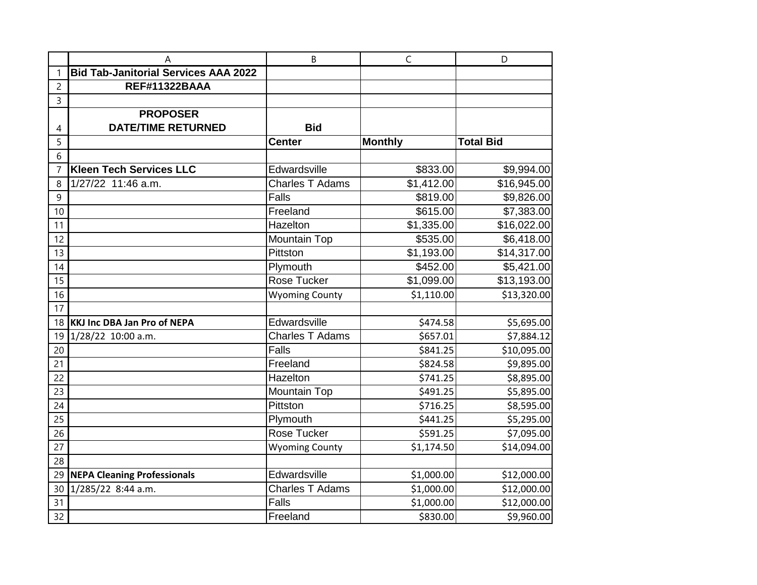|                | A                                           | B                      | $\mathsf C$    | D                |
|----------------|---------------------------------------------|------------------------|----------------|------------------|
|                | <b>Bid Tab-Janitorial Services AAA 2022</b> |                        |                |                  |
| $\overline{c}$ | <b>REF#11322BAAA</b>                        |                        |                |                  |
| 3              |                                             |                        |                |                  |
|                | <b>PROPOSER</b>                             |                        |                |                  |
| 4              | <b>DATE/TIME RETURNED</b>                   | <b>Bid</b>             |                |                  |
| 5              |                                             | <b>Center</b>          | <b>Monthly</b> | <b>Total Bid</b> |
| 6              |                                             |                        |                |                  |
| $\overline{7}$ | <b>Kleen Tech Services LLC</b>              | Edwardsville           | \$833.00       | \$9,994.00       |
| 8              | 1/27/22 11:46 a.m.                          | <b>Charles T Adams</b> | \$1,412.00     | \$16,945.00      |
| 9              |                                             | <b>Falls</b>           | \$819.00       | \$9,826.00       |
| 10             |                                             | Freeland               | \$615.00       | \$7,383.00       |
| 11             |                                             | Hazelton               | \$1,335.00     | \$16,022.00      |
| 12             |                                             | Mountain Top           | \$535.00       | \$6,418.00       |
| 13             |                                             | Pittston               | \$1,193.00     | \$14,317.00      |
| 14             |                                             | Plymouth               | \$452.00       | \$5,421.00       |
| 15             |                                             | <b>Rose Tucker</b>     | \$1,099.00     | \$13,193.00      |
| 16             |                                             | <b>Wyoming County</b>  | \$1,110.00     | \$13,320.00      |
| 17             |                                             |                        |                |                  |
| 18             | <b>KKJ Inc DBA Jan Pro of NEPA</b>          | Edwardsville           | \$474.58       | \$5,695.00       |
| 19             | 1/28/22 10:00 a.m.                          | <b>Charles T Adams</b> | \$657.01       | \$7,884.12       |
| 20             |                                             | <b>Falls</b>           | \$841.25       | \$10,095.00      |
| 21             |                                             | Freeland               | \$824.58       | \$9,895.00       |
| 22             |                                             | Hazelton               | \$741.25       | \$8,895.00       |
| 23             |                                             | <b>Mountain Top</b>    | \$491.25       | \$5,895.00       |
| 24             |                                             | Pittston               | \$716.25       | \$8,595.00       |
| 25             |                                             | Plymouth               | \$441.25       | \$5,295.00       |
| 26             |                                             | Rose Tucker            | \$591.25       | \$7,095.00       |
| 27             |                                             | <b>Wyoming County</b>  | \$1,174.50     | \$14,094.00      |
| 28             |                                             |                        |                |                  |
| 29             | <b>NEPA Cleaning Professionals</b>          | Edwardsville           | \$1,000.00     | \$12,000.00      |
| 30             | 1/285/22 8:44 a.m.                          | <b>Charles T Adams</b> | \$1,000.00     | \$12,000.00      |
| 31             |                                             | <b>Falls</b>           | \$1,000.00     | \$12,000.00      |
| 32             |                                             | Freeland               | \$830.00       | \$9,960.00       |